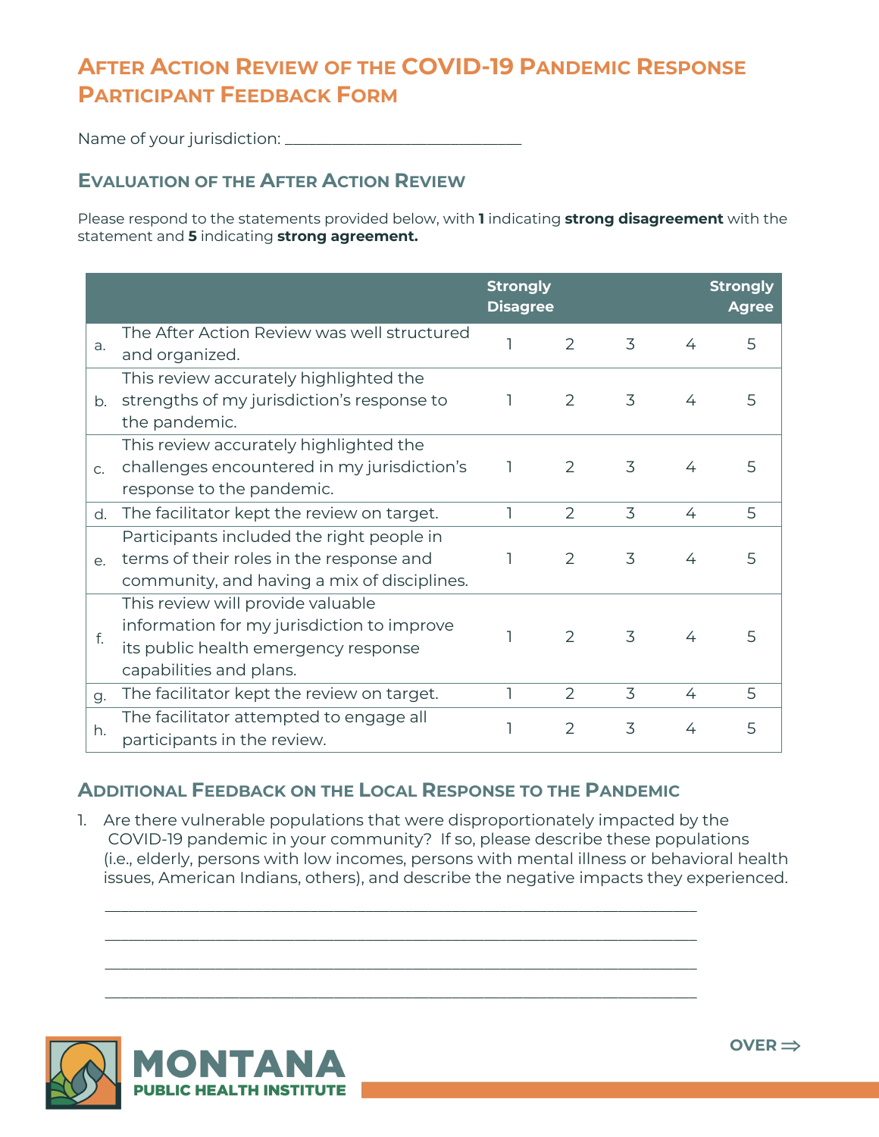## **AFTER ACTION REVIEW OF THE COVID-19 PANDEMIC RESPONSE PARTICIPANT FEEDBACK FORM**

Name of your jurisdiction: \_\_\_\_\_\_\_\_\_\_\_\_\_\_\_\_\_\_\_\_\_\_\_\_\_\_\_\_\_\_

## **EVALUATION OF THE AFTER ACTION REVIEW**

Please respond to the statements provided below, with **1** indicating **strong disagreement** with the statement and **5** indicating **strong agreement.**

|                |                                                                                                                                                    | <b>Strongly</b><br><b>Disagree</b> |   |   |   | <b>Strongly</b><br><b>Agree</b> |
|----------------|----------------------------------------------------------------------------------------------------------------------------------------------------|------------------------------------|---|---|---|---------------------------------|
| a.             | The After Action Review was well structured<br>and organized.                                                                                      |                                    | 2 | 3 | 4 | 5                               |
| b.             | This review accurately highlighted the<br>strengths of my jurisdiction's response to<br>the pandemic.                                              |                                    | 2 | 3 | 4 | 5                               |
| C <sub>1</sub> | This review accurately highlighted the<br>challenges encountered in my jurisdiction's<br>response to the pandemic.                                 | 1                                  | 2 | 3 | 4 | 5                               |
| d.             | The facilitator kept the review on target.                                                                                                         |                                    | 2 | 3 | 4 | 5                               |
| e.             | Participants included the right people in<br>terms of their roles in the response and<br>community, and having a mix of disciplines.               |                                    | 2 | 3 | 4 | 5                               |
| f.             | This review will provide valuable<br>information for my jurisdiction to improve<br>its public health emergency response<br>capabilities and plans. |                                    | 2 | 3 | 4 | 5                               |
| g.             | The facilitator kept the review on target.                                                                                                         | ٦                                  | 2 | 3 | 4 | 5                               |
| h.             | The facilitator attempted to engage all<br>participants in the review.                                                                             |                                    | 2 | 3 | 4 | 5                               |

## **ADDITIONAL FEEDBACK ON THE LOCAL RESPONSE TO THE PANDEMIC**

1. Are there vulnerable populations that were disproportionately impacted by the COVID-19 pandemic in your community? If so, please describe these populations (i.e., elderly, persons with low incomes, persons with mental illness or behavioral health issues, American Indians, others), and describe the negative impacts they experienced.

\_\_\_\_\_\_\_\_\_\_\_\_\_\_\_\_\_\_\_\_\_\_\_\_\_\_\_\_\_\_\_\_\_\_\_\_\_\_\_\_\_\_\_\_\_\_\_\_\_\_\_\_\_\_\_\_\_\_\_\_\_\_\_\_\_\_\_\_\_\_\_\_\_\_\_ \_\_\_\_\_\_\_\_\_\_\_\_\_\_\_\_\_\_\_\_\_\_\_\_\_\_\_\_\_\_\_\_\_\_\_\_\_\_\_\_\_\_\_\_\_\_\_\_\_\_\_\_\_\_\_\_\_\_\_\_\_\_\_\_\_\_\_\_\_\_\_\_\_\_\_

\_\_\_\_\_\_\_\_\_\_\_\_\_\_\_\_\_\_\_\_\_\_\_\_\_\_\_\_\_\_\_\_\_\_\_\_\_\_\_\_\_\_\_\_\_\_\_\_\_\_\_\_\_\_\_\_\_\_\_\_\_\_\_\_\_\_\_\_\_\_\_\_\_\_\_

\_\_\_\_\_\_\_\_\_\_\_\_\_\_\_\_\_\_\_\_\_\_\_\_\_\_\_\_\_\_\_\_\_\_\_\_\_\_\_\_\_\_\_\_\_\_\_\_\_\_\_\_\_\_\_\_\_\_\_\_\_\_\_\_\_\_\_\_\_\_\_\_\_\_\_



 $OVER \implies$